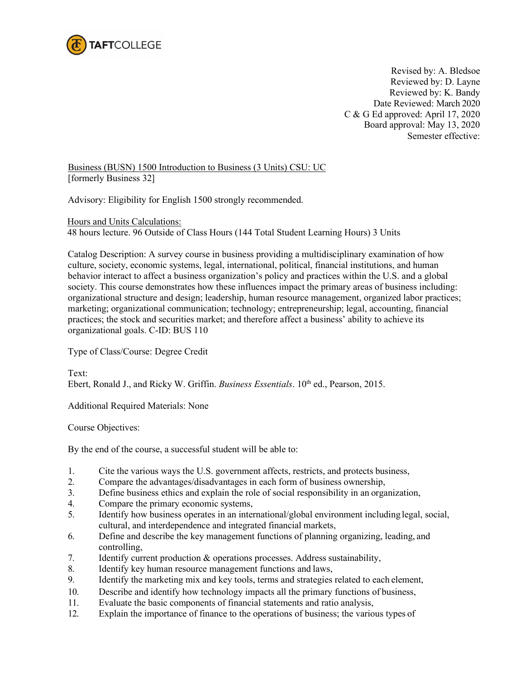

Revised by: A. Bledsoe Reviewed by: D. Layne Reviewed by: K. Bandy Date Reviewed: March 2020 C & G Ed approved: April 17, 2020 Board approval: May 13, 2020 Semester effective:

Business (BUSN) 1500 Introduction to Business (3 Units) CSU: UC [formerly Business 32]

Advisory: Eligibility for English 1500 strongly recommended.

Hours and Units Calculations:

48 hours lecture. 96 Outside of Class Hours (144 Total Student Learning Hours) 3 Units

Catalog Description: A survey course in business providing a multidisciplinary examination of how culture, society, economic systems, legal, international, political, financial institutions, and human behavior interact to affect a business organization's policy and practices within the U.S. and a global society. This course demonstrates how these influences impact the primary areas of business including: organizational structure and design; leadership, human resource management, organized labor practices; marketing; organizational communication; technology; entrepreneurship; legal, accounting, financial practices; the stock and securities market; and therefore affect a business' ability to achieve its organizational goals. C-ID: BUS 110

Type of Class/Course: Degree Credit

Text: Ebert, Ronald J., and Ricky W. Griffin. *Business Essentials*. 10<sup>th</sup> ed., Pearson, 2015.

Additional Required Materials: None

Course Objectives:

By the end of the course, a successful student will be able to:

- 1. Cite the various ways the U.S. government affects, restricts, and protects business,
- 2. Compare the advantages/disadvantages in each form of business ownership,
- 3. Define business ethics and explain the role of social responsibility in an organization,
- 4. Compare the primary economic systems,
- 5. Identify how business operates in an international/global environment including legal, social, cultural, and interdependence and integrated financial markets,
- 6. Define and describe the key management functions of planning organizing, leading, and controlling,
- 7. Identify current production & operations processes. Address sustainability,
- 8. Identify key human resource management functions and laws,
- 9. Identify the marketing mix and key tools, terms and strategies related to each element,
- 10. Describe and identify how technology impacts all the primary functions of business,
- 11. Evaluate the basic components of financial statements and ratio analysis,
- 12. Explain the importance of finance to the operations of business; the various types of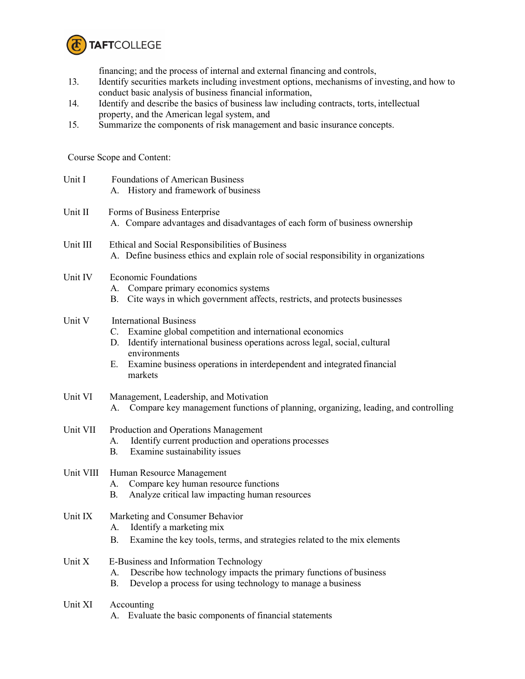

financing; and the process of internal and external financing and controls,

- 13. Identify securities markets including investment options, mechanisms of investing, and how to conduct basic analysis of business financial information,
- 14. Identify and describe the basics of business law including contracts, torts, intellectual property, and the American legal system, and
- 15. Summarize the components of risk management and basic insurance concepts.

Course Scope and Content:

| Unit I    | <b>Foundations of American Business</b><br>History and framework of business                                                                                                                                                                                                             |  |
|-----------|------------------------------------------------------------------------------------------------------------------------------------------------------------------------------------------------------------------------------------------------------------------------------------------|--|
| Unit II   | Forms of Business Enterprise<br>A. Compare advantages and disadvantages of each form of business ownership                                                                                                                                                                               |  |
| Unit III  | Ethical and Social Responsibilities of Business<br>A. Define business ethics and explain role of social responsibility in organizations                                                                                                                                                  |  |
| Unit IV   | <b>Economic Foundations</b><br>Compare primary economics systems<br>A.<br>Cite ways in which government affects, restricts, and protects businesses<br>В.                                                                                                                                |  |
| Unit V    | <b>International Business</b><br>C. Examine global competition and international economics<br>Identify international business operations across legal, social, cultural<br>D.<br>environments<br>Examine business operations in interdependent and integrated financial<br>Е.<br>markets |  |
| Unit VI   | Management, Leadership, and Motivation<br>Compare key management functions of planning, organizing, leading, and controlling<br>А.                                                                                                                                                       |  |
| Unit VII  | Production and Operations Management<br>Identify current production and operations processes<br>А.<br><b>B.</b><br>Examine sustainability issues                                                                                                                                         |  |
| Unit VIII | Human Resource Management<br>Compare key human resource functions<br>A.<br>Analyze critical law impacting human resources<br>В.                                                                                                                                                          |  |
| Unit IX   | Marketing and Consumer Behavior<br>Identify a marketing mix<br>А.<br><b>B.</b><br>Examine the key tools, terms, and strategies related to the mix elements                                                                                                                               |  |
| Unit X    | E-Business and Information Technology<br>Describe how technology impacts the primary functions of business<br>A.<br>Develop a process for using technology to manage a business<br>В.                                                                                                    |  |
| Unit XI   | Accounting<br>Evaluate the basic components of financial statements<br>А.                                                                                                                                                                                                                |  |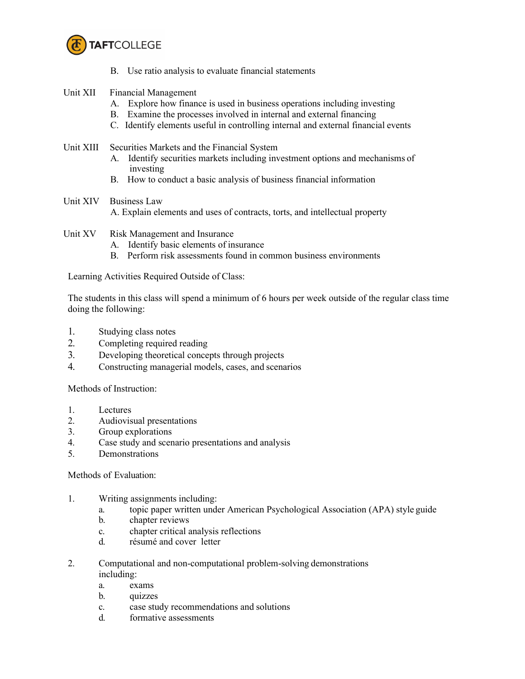

- B. Use ratio analysis to evaluate financial statements
- Unit XII Financial Management
	- A. Explore how finance is used in business operations including investing
	- B. Examine the processes involved in internal and external financing
	- C. Identify elements useful in controlling internal and external financial events
- Unit XIII Securities Markets and the Financial System
	- A. Identify securities markets including investment options and mechanisms of investing
	- B. How to conduct a basic analysis of business financial information
- Unit XIV Business Law A. Explain elements and uses of contracts, torts, and intellectual property
- Unit XV Risk Management and Insurance
	- A. Identify basic elements of insurance
	- B. Perform risk assessments found in common business environments

Learning Activities Required Outside of Class:

The students in this class will spend a minimum of 6 hours per week outside of the regular class time doing the following:

- 1. Studying class notes
- 2. Completing required reading
- 3. Developing theoretical concepts through projects
- 4. Constructing managerial models, cases, and scenarios

Methods of Instruction:

- 1. Lectures
- 2. Audiovisual presentations
- 3. Group explorations
- 4. Case study and scenario presentations and analysis
- 5. Demonstrations

## Methods of Evaluation:

- 1. Writing assignments including:
	- a. topic paper written under American Psychological Association (APA) style guide
	- b. chapter reviews
	- c. chapter critical analysis reflections
	- d. résumé and cover letter
- 2. Computational and non-computational problem-solving demonstrations including:
	- a. exams
	- b. quizzes
	- c. case study recommendations and solutions
	- d. formative assessments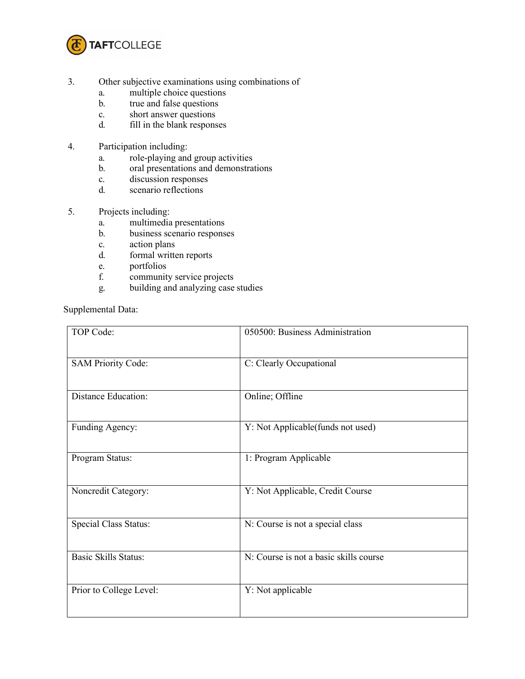

- 3. Other subjective examinations using combinations of
	- a. multiple choice questions
	- b. true and false questions
	- c. short answer questions
	- d. fill in the blank responses
- 4. Participation including:
	- a. role-playing and group activities
	- b. oral presentations and demonstrations
	- c. discussion responses
	- d. scenario reflections
- 5. Projects including:
	- a. multimedia presentations
	- b. business scenario responses
	- c. action plans
	- d. formal written reports
	- e. portfolios
	- f. community service projects
	- g. building and analyzing case studies

Supplemental Data:

| TOP Code:                   | 050500: Business Administration        |
|-----------------------------|----------------------------------------|
| <b>SAM Priority Code:</b>   | C: Clearly Occupational                |
| <b>Distance Education:</b>  | Online; Offline                        |
| Funding Agency:             | Y: Not Applicable(funds not used)      |
| Program Status:             | 1: Program Applicable                  |
| Noncredit Category:         | Y: Not Applicable, Credit Course       |
| Special Class Status:       | N: Course is not a special class       |
| <b>Basic Skills Status:</b> | N: Course is not a basic skills course |
| Prior to College Level:     | Y: Not applicable                      |